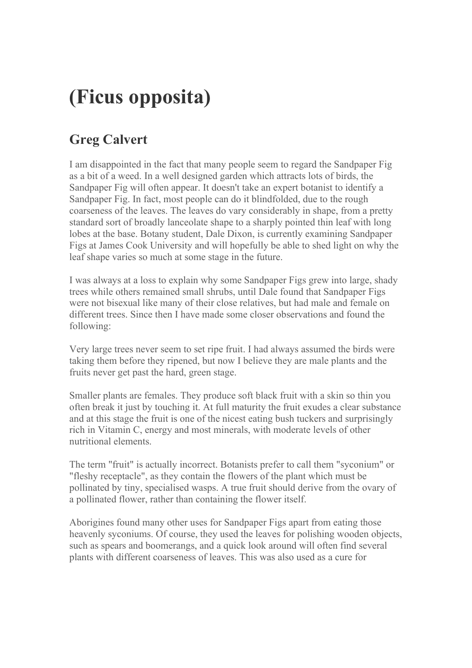## **(Ficus opposita)**

## **Greg Calvert**

I am disappointed in the fact that many people seem to regard the Sandpaper Fig as a bit of a weed. In a well designed garden which attracts lots of birds, the Sandpaper Fig will often appear. It doesn't take an expert botanist to identify a Sandpaper Fig. In fact, most people can do it blindfolded, due to the rough coarseness of the leaves. The leaves do vary considerably in shape, from a pretty standard sort of broadly lanceolate shape to a sharply pointed thin leaf with long lobes at the base. Botany student, Dale Dixon, is currently examining Sandpaper Figs at James Cook University and will hopefully be able to shed light on why the leaf shape varies so much at some stage in the future.

I was always at a loss to explain why some Sandpaper Figs grew into large, shady trees while others remained small shrubs, until Dale found that Sandpaper Figs were not bisexual like many of their close relatives, but had male and female on different trees. Since then I have made some closer observations and found the following:

Very large trees never seem to set ripe fruit. I had always assumed the birds were taking them before they ripened, but now I believe they are male plants and the fruits never get past the hard, green stage.

Smaller plants are females. They produce soft black fruit with a skin so thin you often break it just by touching it. At full maturity the fruit exudes a clear substance and at this stage the fruit is one of the nicest eating bush tuckers and surprisingly rich in Vitamin C, energy and most minerals, with moderate levels of other nutritional elements.

The term "fruit" is actually incorrect. Botanists prefer to call them "syconium" or "fleshy receptacle", as they contain the flowers of the plant which must be pollinated by tiny, specialised wasps. A true fruit should derive from the ovary of a pollinated flower, rather than containing the flower itself.

Aborigines found many other uses for Sandpaper Figs apart from eating those heavenly syconiums. Of course, they used the leaves for polishing wooden objects, such as spears and boomerangs, and a quick look around will often find several plants with different coarseness of leaves. This was also used as a cure for